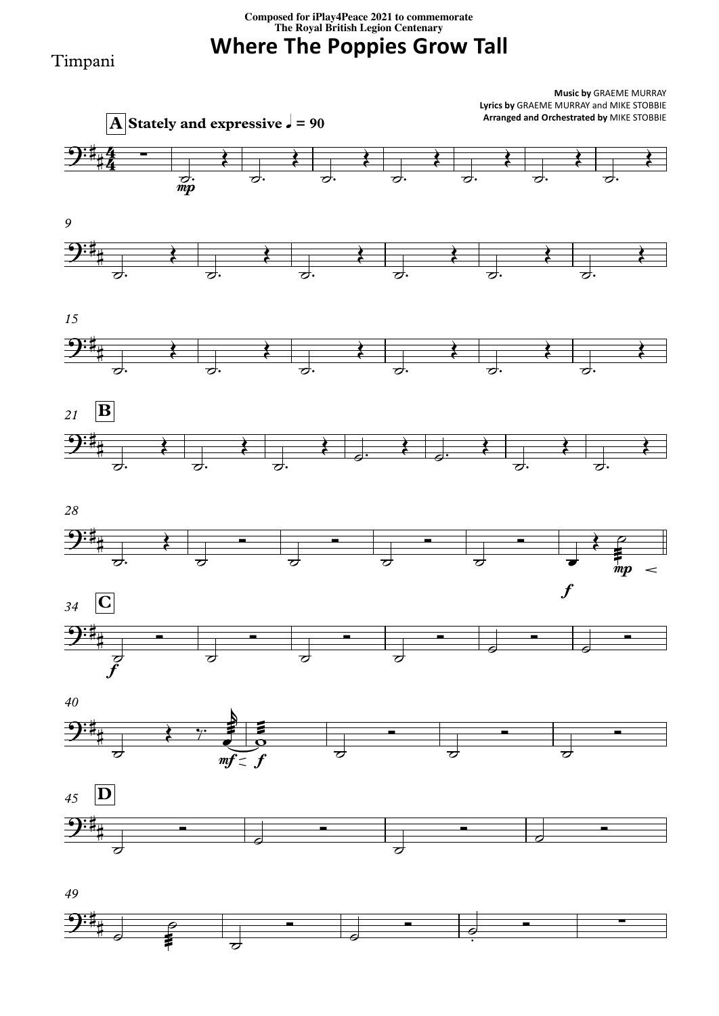**Composed for iPlay4Peace <sup>2021</sup> to commemorate The Royal British Legion Centenary**

**Where The Poppies Grow Tall**

## Timpani

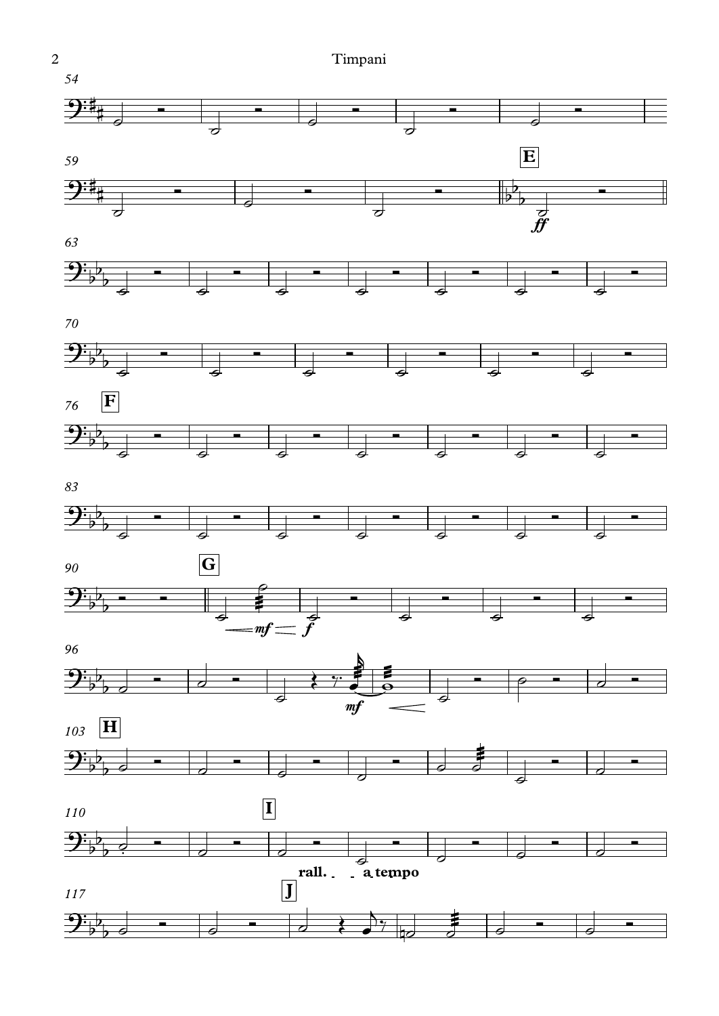2 Timpani*54*  $\begin{array}{c|c} \hline \hline \hline \hline \hline \hline \hline \hline \hline \end{array}$  $\begin{array}{c|c|c|c} \hline \text{ } & \text{ } & \text{ } & \text{ } \end{array}$  $\begin{array}{c|c} \hline \hline \hline \hline \hline \hline \hline \hline \end{array}$ <sup>Ó</sup> ˙ Ó<br>Ó Szente  $9:4$ #  $\overline{\phantom{a}}$ *59* **E**  $\overline{P_{\perp}}$  $\frac{2:}{4}$  $\overline{\phantom{a}}$  $\begin{array}{c|c} \hline \text{ } & \text{ } \\ \hline \text{ } & \text{ } \\ \text{ } & \text{ } \\ \end{array}$  $\begin{array}{c|c}\n\bullet & & \mathbf{b} \\
\bullet & & \mathbf{c} \\
\mathbf{c} & & \mathbf{c}\n\end{array}$ <del>o</del><br>Ólamaz # b ┇  $\overline{\phantom{0}}$  $\overline{\sigma}$ f *63*  $\mathbf{P}_{\flat}$  $\begin{array}{c|c} \hline \text{ } & \text{ } & \text{ } \end{array}$  $\begin{array}{c|c}\n\bullet & \bullet \\
\bullet & \bullet\n\end{array}$  $\begin{array}{c|c}\n\bullet & \bullet \\
\bullet & \end{array}$  $\begin{array}{c|c}\n\bullet & \bullet \\
\bullet & \end{array}$  $\begin{array}{c|c}\n\bullet & \bullet \\
\hline\n\phi & \end{array}$ <u>o</u><br>Ólas este  $\blacksquare$  $\overline{\phantom{0}}$  $\overline{\phantom{a}}$ *70*  $\frac{\partial \cdot \mathbf{p}}{\partial \mathbf{p}}$ <u></u>  $\begin{array}{c|c|c|c} \hline \bullet & \bullet & \bullet \end{array}$ Ólaimheach<br>Ólaimheach  $\frac{1}{2}$  $\overline{\phantom{a}}$ *76* **F**  $\mathcal{P}_{\flat}$  $\begin{array}{c|c} \hline \text{ } & \text{ } & \text{ } \end{array}$ <u></u>  $\begin{array}{c|c} \hline \bullet & \bullet \end{array}$ <u>o an Isla</u> <u></u>  $\overline{\phantom{0}}$  $\overline{\phantom{a}}$ *83*  $\mathbf{P}_{\flat}$  $\begin{array}{c|c|c|c|c} \hline \bullet & \bullet & \bullet \end{array}$  $\begin{array}{c|c|c|c|c} \hline \bullet & \bullet & \bullet \end{array}$  $\begin{array}{c|c}\n\bullet & \bullet \\
\hline\n\phi & \end{array}$  $\begin{array}{c|c}\n\bullet & \bullet \\
\hline\n\phi & \end{array}$  $\blacksquare$  $\overline{\phantom{0}}$  $\overline{\phantom{a}}$ *90* **G**  $rac{1}{\sqrt{1-\frac{1}{2}}}$  $\frac{\partial \cdot \mathbf{b}}{\partial \mathbf{b}}$  .  $\begin{array}{c|c|c|c|c} \hline \bullet & \bullet & \bullet & \bullet \end{array}$ ˙ <sup>Ó</sup> ˙ <sup>Ó</sup> ˙  $\begin{array}{c|c|c|c} \hline \bullet & \bullet & \bullet \end{array}$ <u>o</u><br>Albanya  $\overline{\phantom{a}}$  $m f$ *96*  $\leftarrow$  $9\frac{1}{2}$  $\begin{array}{c|c|c|c|c} \hline \bullet & \bullet & \star \\ \hline \bullet & \bullet & \star \end{array}$  $\bullet$   $\circ$   $\bullet$   $\circ$   $\bullet$  $\overline{b}$  $\overline{\phantom{a}}$ mf *103* **H**  $\frac{1}{\sigma}$  $\frac{\partial \cdot \mathbf{b}}{\partial \mathbf{b}}$  $\begin{array}{c|c|c|c} \hline \textbf{0} & \textbf{0} & \textbf{0} \end{array}$  $\begin{array}{c|c} \hline \hline \hline \hline \hline \hline \hline \hline \hline \hline \end{array}$ Ó ˙ Ó  $\overline{\phantom{a}}$  $\frac{1}{\sqrt{2}}$  $\overline{\phantom{aa}}$  $\overline{\boldsymbol{\phi}}$  $\overline{\phantom{a}}$ *110* **I**  $\phi$   $\qquad$   $\qquad$   $\qquad$  $\begin{array}{c|c|c|c} \hline \textbf{a} & \textbf{b} & \textbf{b} & \textbf{c} \ \hline \textbf{b} & \textbf{c} & \textbf{c} & \textbf{c} \ \hline \end{array}$  $\begin{array}{c|c|c|c} \hline \bullet & \bullet & \bullet \end{array}$  $\begin{array}{c|c} \hline \hline \hline \hline \hline \hline \hline \hline \hline \end{array}$  $\begin{array}{c|c|c|c} \hline \textbf{a} & \textbf{b} & \textbf{b} & \textbf{c} \ \hline \textbf{b} & \textbf{c} & \textbf{c} & \textbf{c} \ \hline \end{array}$  $\blacksquare$  $\overline{\mathbf{P}}$  $\overline{b^2}$  $\exists \exists$  $b$  . **rall. a tempo** *117* **J**  $\begin{array}{c} \begin{array}{c} \text{ }\\ \text{ }\\ \text{ }\\ \text{ }\\ \end{array} \end{array}$  $\frac{1}{\sigma}$   $\Big|_{\sigma}$   $9\frac{1}{2}$  by a Ó ˙  $\begin{array}{c|c} \hline \end{array}$ <u>Ó</u>  $\frac{1}{2}$ 

 $\frac{1}{2}$ 

 $\overline{\phantom{a}}$